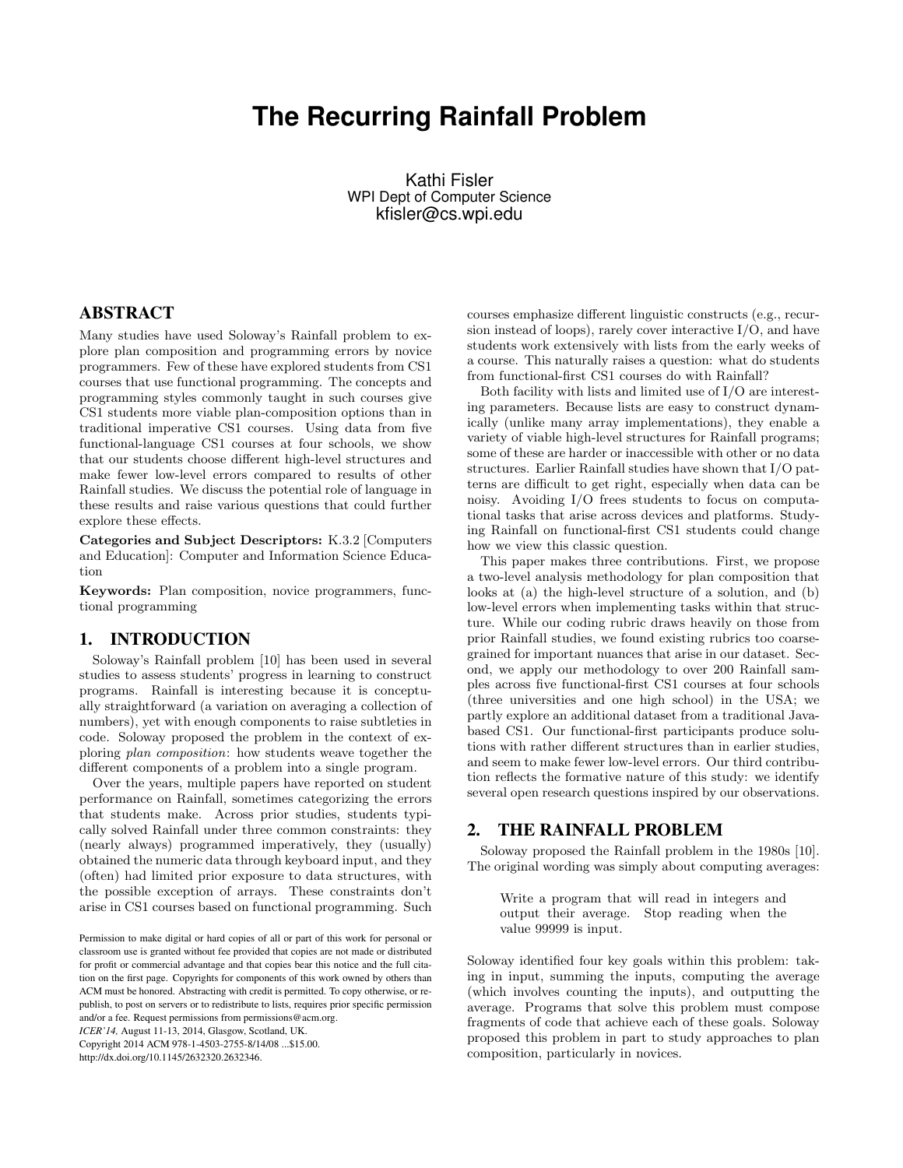# **The Recurring Rainfall Problem**

Kathi Fisler WPI Dept of Computer Science kfisler@cs.wpi.edu

# ABSTRACT

Many studies have used Soloway's Rainfall problem to explore plan composition and programming errors by novice programmers. Few of these have explored students from CS1 courses that use functional programming. The concepts and programming styles commonly taught in such courses give CS1 students more viable plan-composition options than in traditional imperative CS1 courses. Using data from five functional-language CS1 courses at four schools, we show that our students choose different high-level structures and make fewer low-level errors compared to results of other Rainfall studies. We discuss the potential role of language in these results and raise various questions that could further explore these effects.

Categories and Subject Descriptors: K.3.2 [Computers and Education]: Computer and Information Science Education

Keywords: Plan composition, novice programmers, functional programming

## 1. INTRODUCTION

Soloway's Rainfall problem [10] has been used in several studies to assess students' progress in learning to construct programs. Rainfall is interesting because it is conceptually straightforward (a variation on averaging a collection of numbers), yet with enough components to raise subtleties in code. Soloway proposed the problem in the context of exploring plan composition: how students weave together the different components of a problem into a single program.

Over the years, multiple papers have reported on student performance on Rainfall, sometimes categorizing the errors that students make. Across prior studies, students typically solved Rainfall under three common constraints: they (nearly always) programmed imperatively, they (usually) obtained the numeric data through keyboard input, and they (often) had limited prior exposure to data structures, with the possible exception of arrays. These constraints don't arise in CS1 courses based on functional programming. Such

*ICER'14,* August 11-13, 2014, Glasgow, Scotland, UK. Copyright 2014 ACM 978-1-4503-2755-8/14/08 ...\$15.00.

http://dx.doi.org/10.1145/2632320.2632346.

courses emphasize different linguistic constructs (e.g., recursion instead of loops), rarely cover interactive I/O, and have students work extensively with lists from the early weeks of a course. This naturally raises a question: what do students from functional-first CS1 courses do with Rainfall?

Both facility with lists and limited use of I/O are interesting parameters. Because lists are easy to construct dynamically (unlike many array implementations), they enable a variety of viable high-level structures for Rainfall programs; some of these are harder or inaccessible with other or no data structures. Earlier Rainfall studies have shown that I/O patterns are difficult to get right, especially when data can be noisy. Avoiding I/O frees students to focus on computational tasks that arise across devices and platforms. Studying Rainfall on functional-first CS1 students could change how we view this classic question.

This paper makes three contributions. First, we propose a two-level analysis methodology for plan composition that looks at (a) the high-level structure of a solution, and (b) low-level errors when implementing tasks within that structure. While our coding rubric draws heavily on those from prior Rainfall studies, we found existing rubrics too coarsegrained for important nuances that arise in our dataset. Second, we apply our methodology to over 200 Rainfall samples across five functional-first CS1 courses at four schools (three universities and one high school) in the USA; we partly explore an additional dataset from a traditional Javabased CS1. Our functional-first participants produce solutions with rather different structures than in earlier studies, and seem to make fewer low-level errors. Our third contribution reflects the formative nature of this study: we identify several open research questions inspired by our observations.

## 2. THE RAINFALL PROBLEM

Soloway proposed the Rainfall problem in the 1980s [10]. The original wording was simply about computing averages:

Write a program that will read in integers and output their average. Stop reading when the value 99999 is input.

Soloway identified four key goals within this problem: taking in input, summing the inputs, computing the average (which involves counting the inputs), and outputting the average. Programs that solve this problem must compose fragments of code that achieve each of these goals. Soloway proposed this problem in part to study approaches to plan composition, particularly in novices.

Permission to make digital or hard copies of all or part of this work for personal or classroom use is granted without fee provided that copies are not made or distributed for profit or commercial advantage and that copies bear this notice and the full citation on the first page. Copyrights for components of this work owned by others than ACM must be honored. Abstracting with credit is permitted. To copy otherwise, or republish, to post on servers or to redistribute to lists, requires prior specific permission and/or a fee. Request permissions from permissions@acm.org.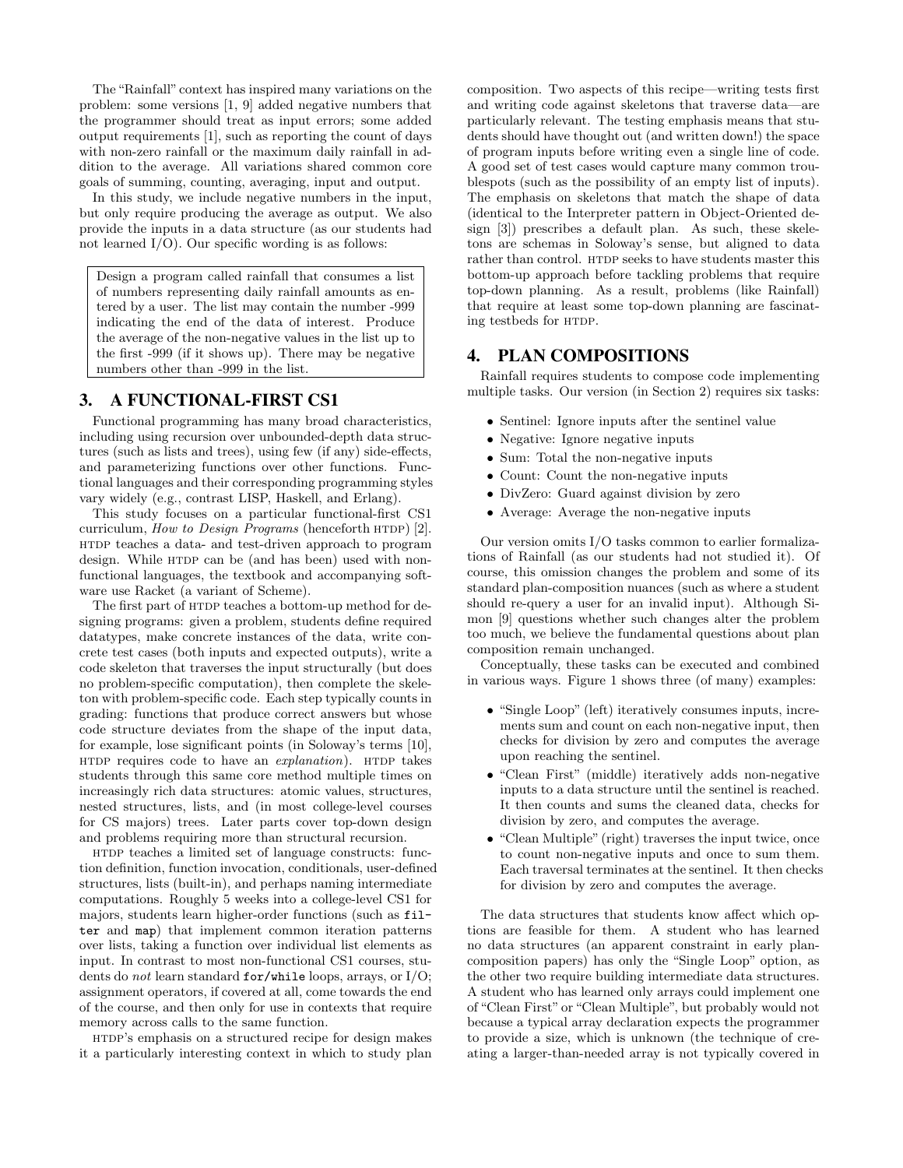The "Rainfall" context has inspired many variations on the problem: some versions [1, 9] added negative numbers that the programmer should treat as input errors; some added output requirements [1], such as reporting the count of days with non-zero rainfall or the maximum daily rainfall in addition to the average. All variations shared common core goals of summing, counting, averaging, input and output.

In this study, we include negative numbers in the input, but only require producing the average as output. We also provide the inputs in a data structure (as our students had not learned I/O). Our specific wording is as follows:

Design a program called rainfall that consumes a list of numbers representing daily rainfall amounts as entered by a user. The list may contain the number -999 indicating the end of the data of interest. Produce the average of the non-negative values in the list up to the first -999 (if it shows up). There may be negative numbers other than -999 in the list.

# 3. A FUNCTIONAL-FIRST CS1

Functional programming has many broad characteristics, including using recursion over unbounded-depth data structures (such as lists and trees), using few (if any) side-effects, and parameterizing functions over other functions. Functional languages and their corresponding programming styles vary widely (e.g., contrast LISP, Haskell, and Erlang).

This study focuses on a particular functional-first CS1 curriculum, How to Design Programs (henceforth HTDP) [2]. HTDP teaches a data- and test-driven approach to program design. While HTDP can be (and has been) used with nonfunctional languages, the textbook and accompanying software use Racket (a variant of Scheme).

The first part of HTDP teaches a bottom-up method for designing programs: given a problem, students define required datatypes, make concrete instances of the data, write concrete test cases (both inputs and expected outputs), write a code skeleton that traverses the input structurally (but does no problem-specific computation), then complete the skeleton with problem-specific code. Each step typically counts in grading: functions that produce correct answers but whose code structure deviates from the shape of the input data, for example, lose significant points (in Soloway's terms [10], HTDP requires code to have an explanation). HTDP takes students through this same core method multiple times on increasingly rich data structures: atomic values, structures, nested structures, lists, and (in most college-level courses for CS majors) trees. Later parts cover top-down design and problems requiring more than structural recursion.

HTDP teaches a limited set of language constructs: function definition, function invocation, conditionals, user-defined structures, lists (built-in), and perhaps naming intermediate computations. Roughly 5 weeks into a college-level CS1 for majors, students learn higher-order functions (such as filter and map) that implement common iteration patterns over lists, taking a function over individual list elements as input. In contrast to most non-functional CS1 courses, students do *not* learn standard  $for/while$  loops, arrays, or  $I/O$ ; assignment operators, if covered at all, come towards the end of the course, and then only for use in contexts that require memory across calls to the same function.

htdp's emphasis on a structured recipe for design makes it a particularly interesting context in which to study plan composition. Two aspects of this recipe—writing tests first and writing code against skeletons that traverse data—are particularly relevant. The testing emphasis means that students should have thought out (and written down!) the space of program inputs before writing even a single line of code. A good set of test cases would capture many common troublespots (such as the possibility of an empty list of inputs). The emphasis on skeletons that match the shape of data (identical to the Interpreter pattern in Object-Oriented design [3]) prescribes a default plan. As such, these skeletons are schemas in Soloway's sense, but aligned to data rather than control. HTDP seeks to have students master this bottom-up approach before tackling problems that require top-down planning. As a result, problems (like Rainfall) that require at least some top-down planning are fascinating testbeds for HTDP.

# 4. PLAN COMPOSITIONS

Rainfall requires students to compose code implementing multiple tasks. Our version (in Section 2) requires six tasks:

- Sentinel: Ignore inputs after the sentinel value
- Negative: Ignore negative inputs
- Sum: Total the non-negative inputs
- Count: Count the non-negative inputs
- DivZero: Guard against division by zero
- Average: Average the non-negative inputs

Our version omits I/O tasks common to earlier formalizations of Rainfall (as our students had not studied it). Of course, this omission changes the problem and some of its standard plan-composition nuances (such as where a student should re-query a user for an invalid input). Although Simon [9] questions whether such changes alter the problem too much, we believe the fundamental questions about plan composition remain unchanged.

Conceptually, these tasks can be executed and combined in various ways. Figure 1 shows three (of many) examples:

- "Single Loop" (left) iteratively consumes inputs, increments sum and count on each non-negative input, then checks for division by zero and computes the average upon reaching the sentinel.
- "Clean First" (middle) iteratively adds non-negative inputs to a data structure until the sentinel is reached. It then counts and sums the cleaned data, checks for division by zero, and computes the average.
- "Clean Multiple" (right) traverses the input twice, once to count non-negative inputs and once to sum them. Each traversal terminates at the sentinel. It then checks for division by zero and computes the average.

The data structures that students know affect which options are feasible for them. A student who has learned no data structures (an apparent constraint in early plancomposition papers) has only the "Single Loop" option, as the other two require building intermediate data structures. A student who has learned only arrays could implement one of "Clean First" or "Clean Multiple", but probably would not because a typical array declaration expects the programmer to provide a size, which is unknown (the technique of creating a larger-than-needed array is not typically covered in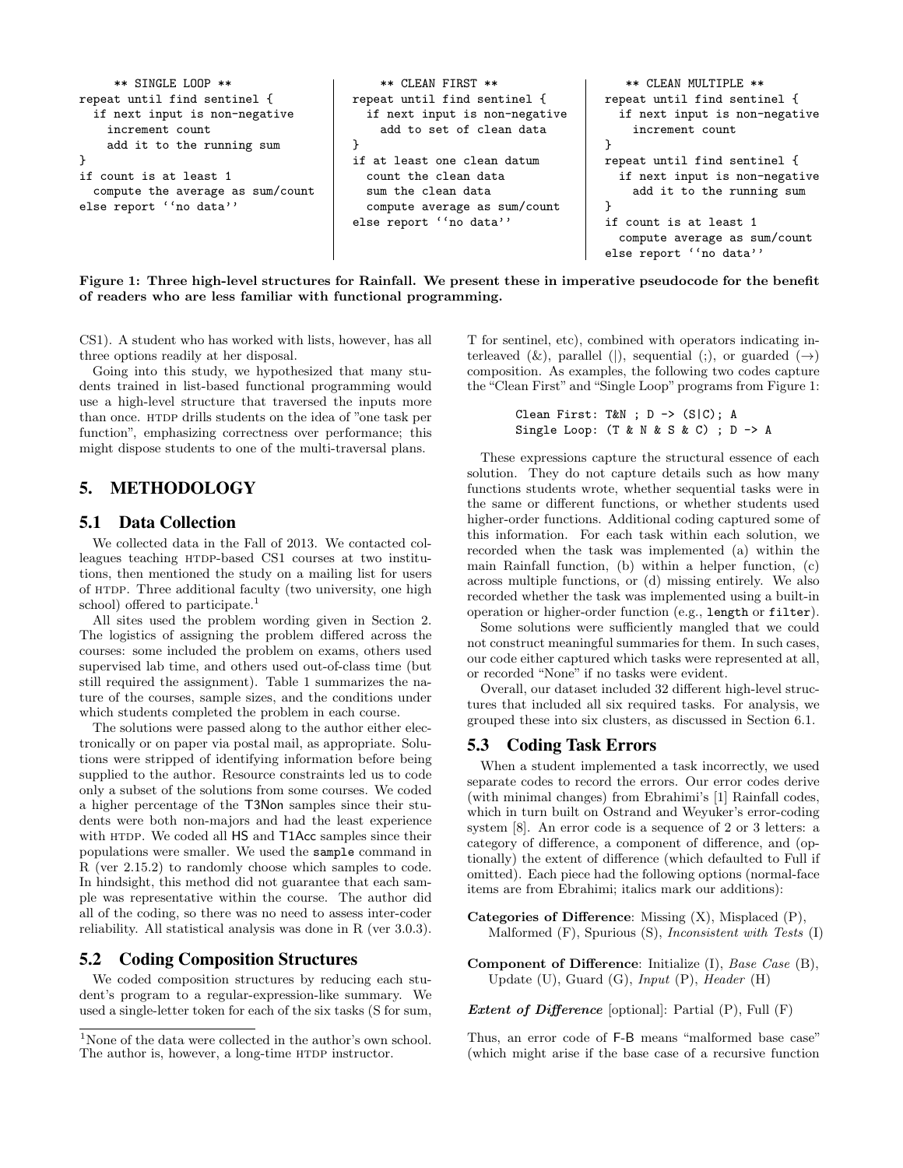```
** SINGLE LOOP **
repeat until find sentinel {
  if next input is non-negative
    increment count
    add it to the running sum
}
if count is at least 1
 compute the average as sum/count
else report ''no data''
                                            ** CLEAN FIRST **
                                        repeat until find sentinel {
                                          if next input is non-negative
                                            add to set of clean data
                                        }
                                        if at least one clean datum
                                          count the clean data
                                          sum the clean data
                                          compute average as sum/count
                                        else report ''no data''
                                                                                 ** CLEAN MULTIPLE **
                                                                              repeat until find sentinel {
                                                                                if next input is non-negative
                                                                                  increment count
                                                                              }
                                                                              repeat until find sentinel {
                                                                                if next input is non-negative
                                                                                  add it to the running sum
                                                                              }
                                                                              if count is at least 1
                                                                                compute average as sum/count
                                                                              else report ''no data''
```
Figure 1: Three high-level structures for Rainfall. We present these in imperative pseudocode for the benefit of readers who are less familiar with functional programming.

CS1). A student who has worked with lists, however, has all three options readily at her disposal.

Going into this study, we hypothesized that many students trained in list-based functional programming would use a high-level structure that traversed the inputs more than once. HTDP drills students on the idea of "one task per function", emphasizing correctness over performance; this might dispose students to one of the multi-traversal plans.

# 5. METHODOLOGY

## 5.1 Data Collection

We collected data in the Fall of 2013. We contacted colleagues teaching HTDP-based CS1 courses at two institutions, then mentioned the study on a mailing list for users of HTDP. Three additional faculty (two university, one high school) offered to participate.<sup>1</sup>

All sites used the problem wording given in Section 2. The logistics of assigning the problem differed across the courses: some included the problem on exams, others used supervised lab time, and others used out-of-class time (but still required the assignment). Table 1 summarizes the nature of the courses, sample sizes, and the conditions under which students completed the problem in each course.

The solutions were passed along to the author either electronically or on paper via postal mail, as appropriate. Solutions were stripped of identifying information before being supplied to the author. Resource constraints led us to code only a subset of the solutions from some courses. We coded a higher percentage of the T3Non samples since their students were both non-majors and had the least experience with HTDP. We coded all HS and T1Acc samples since their populations were smaller. We used the sample command in R (ver 2.15.2) to randomly choose which samples to code. In hindsight, this method did not guarantee that each sample was representative within the course. The author did all of the coding, so there was no need to assess inter-coder reliability. All statistical analysis was done in R (ver 3.0.3).

#### 5.2 Coding Composition Structures

We coded composition structures by reducing each student's program to a regular-expression-like summary. We used a single-letter token for each of the six tasks (S for sum, T for sentinel, etc), combined with operators indicating interleaved  $(\&)$ , parallel (|), sequential (;), or guarded  $(\rightarrow)$ composition. As examples, the following two codes capture the "Clean First" and "Single Loop" programs from Figure 1:

```
Clean First: T&N ; D -> (S|C); A
Single Loop: (T & N & S & C) ; D -> A
```
These expressions capture the structural essence of each solution. They do not capture details such as how many functions students wrote, whether sequential tasks were in the same or different functions, or whether students used higher-order functions. Additional coding captured some of this information. For each task within each solution, we recorded when the task was implemented (a) within the main Rainfall function, (b) within a helper function, (c) across multiple functions, or (d) missing entirely. We also recorded whether the task was implemented using a built-in operation or higher-order function (e.g., length or filter).

Some solutions were sufficiently mangled that we could not construct meaningful summaries for them. In such cases, our code either captured which tasks were represented at all, or recorded "None" if no tasks were evident.

Overall, our dataset included 32 different high-level structures that included all six required tasks. For analysis, we grouped these into six clusters, as discussed in Section 6.1.

# 5.3 Coding Task Errors

When a student implemented a task incorrectly, we used separate codes to record the errors. Our error codes derive (with minimal changes) from Ebrahimi's [1] Rainfall codes, which in turn built on Ostrand and Weyuker's error-coding system [8]. An error code is a sequence of 2 or 3 letters: a category of difference, a component of difference, and (optionally) the extent of difference (which defaulted to Full if omitted). Each piece had the following options (normal-face items are from Ebrahimi; italics mark our additions):

- Categories of Difference: Missing (X), Misplaced (P), Malformed (F), Spurious (S), Inconsistent with Tests (I)
- Component of Difference: Initialize (I), Base Case (B), Update (U), Guard (G), Input (P), Header (H)

*Extent of Difference* [optional]: Partial  $(P)$ , Full  $(F)$ 

Thus, an error code of F-B means "malformed base case" (which might arise if the base case of a recursive function

 $1$ None of the data were collected in the author's own school. The author is, however, a long-time HTDP instructor.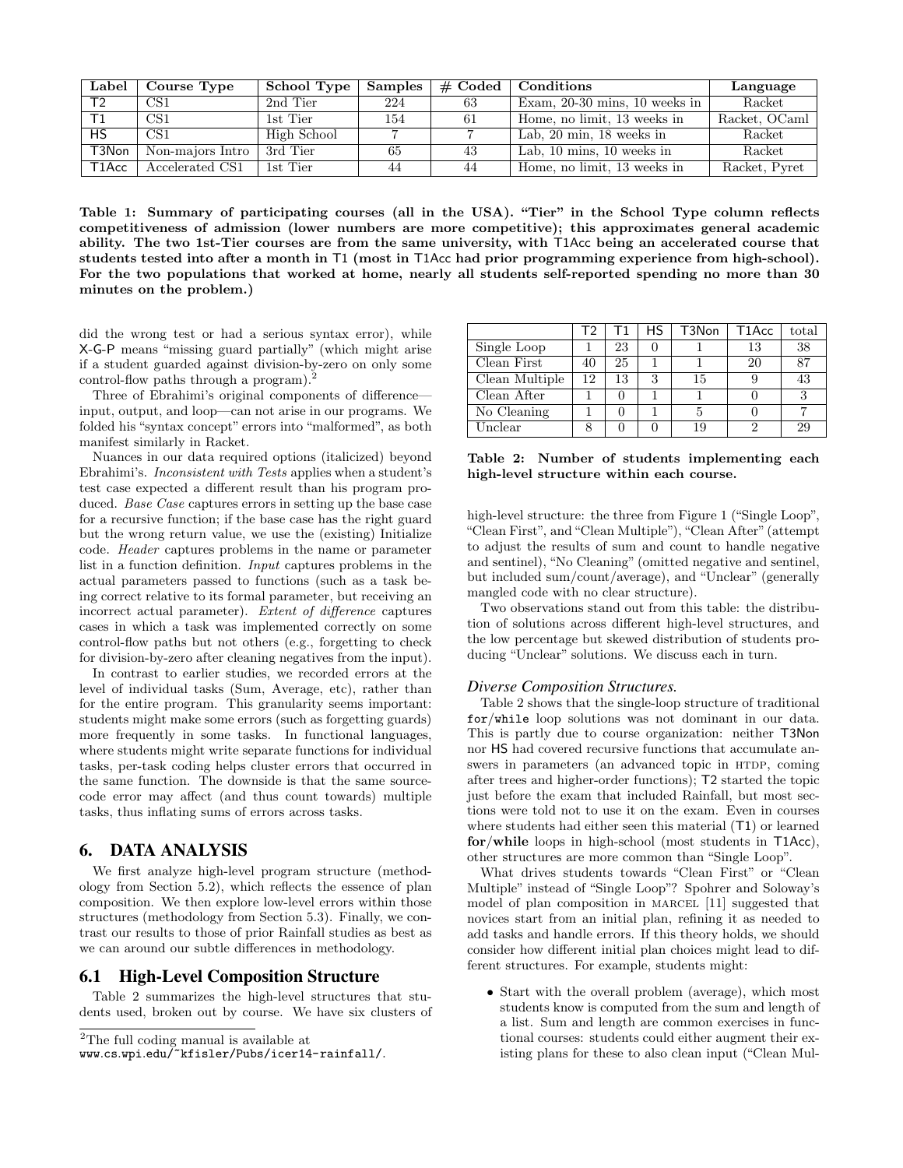| Label                          | Course Type      | School Type | Samples | $\#$ Coded | Conditions                                     | Language      |
|--------------------------------|------------------|-------------|---------|------------|------------------------------------------------|---------------|
| T <sub>2</sub>                 | CS1              | 2nd Tier    | 224     | 63         | Exam, $20-30$ mins, $10$ weeks in              | Racket        |
|                                | CS <sub>1</sub>  | 1st Tier    | 154     | 61         | Home, no limit, 13 weeks in                    | Racket. OCaml |
| <b>HS</b>                      | CS <sub>1</sub>  | High School |         |            | Lab, $20 \text{ min}$ , $18 \text{ weeks in}$  | Racket        |
| T3Non                          | Non-majors Intro | 3rd Tier    | 65      | 43         | Lab, $10 \text{ mins}$ , $10 \text{ weeks in}$ | Racket        |
| T <sub>1</sub> A <sub>cc</sub> | Accelerated CS1  | 1st Tier    | 44      | 44         | Home, no limit, 13 weeks in                    | Racket, Pyret |

Table 1: Summary of participating courses (all in the USA). "Tier" in the School Type column reflects competitiveness of admission (lower numbers are more competitive); this approximates general academic ability. The two 1st-Tier courses are from the same university, with T1Acc being an accelerated course that students tested into after a month in T1 (most in T1Acc had prior programming experience from high-school). For the two populations that worked at home, nearly all students self-reported spending no more than 30 minutes on the problem.)

did the wrong test or had a serious syntax error), while X-G-P means "missing guard partially" (which might arise if a student guarded against division-by-zero on only some control-flow paths through a program).<sup>2</sup>

Three of Ebrahimi's original components of difference input, output, and loop—can not arise in our programs. We folded his "syntax concept" errors into "malformed", as both manifest similarly in Racket.

Nuances in our data required options (italicized) beyond Ebrahimi's. Inconsistent with Tests applies when a student's test case expected a different result than his program produced. Base Case captures errors in setting up the base case for a recursive function; if the base case has the right guard but the wrong return value, we use the (existing) Initialize code. Header captures problems in the name or parameter list in a function definition. Input captures problems in the actual parameters passed to functions (such as a task being correct relative to its formal parameter, but receiving an incorrect actual parameter). Extent of difference captures cases in which a task was implemented correctly on some control-flow paths but not others (e.g., forgetting to check for division-by-zero after cleaning negatives from the input).

In contrast to earlier studies, we recorded errors at the level of individual tasks (Sum, Average, etc), rather than for the entire program. This granularity seems important: students might make some errors (such as forgetting guards) more frequently in some tasks. In functional languages, where students might write separate functions for individual tasks, per-task coding helps cluster errors that occurred in the same function. The downside is that the same sourcecode error may affect (and thus count towards) multiple tasks, thus inflating sums of errors across tasks.

# 6. DATA ANALYSIS

We first analyze high-level program structure (methodology from Section 5.2), which reflects the essence of plan composition. We then explore low-level errors within those structures (methodology from Section 5.3). Finally, we contrast our results to those of prior Rainfall studies as best as we can around our subtle differences in methodology.

#### 6.1 High-Level Composition Structure

Table 2 summarizes the high-level structures that students used, broken out by course. We have six clusters of

|                |    |    | НS | T3Non | T1Acc | total |
|----------------|----|----|----|-------|-------|-------|
| Single Loop    |    | 23 |    |       | 13    | 38    |
| Clean First    | 40 | 25 |    |       | 20    | 87    |
| Clean Multiple | 12 | 13 | 3  | 15    |       | 43    |
| Clean After    |    |    |    |       |       | 3     |
| No Cleaning    |    |    |    | 5     |       |       |
| Unclear        |    |    |    | 19    | 2     | 29    |
|                |    |    |    |       |       |       |

Table 2: Number of students implementing each high-level structure within each course.

high-level structure: the three from Figure 1 ("Single Loop", "Clean First", and "Clean Multiple"), "Clean After" (attempt to adjust the results of sum and count to handle negative and sentinel), "No Cleaning" (omitted negative and sentinel, but included sum/count/average), and "Unclear" (generally mangled code with no clear structure).

Two observations stand out from this table: the distribution of solutions across different high-level structures, and the low percentage but skewed distribution of students producing "Unclear" solutions. We discuss each in turn.

#### *Diverse Composition Structures.*

Table 2 shows that the single-loop structure of traditional for/while loop solutions was not dominant in our data. This is partly due to course organization: neither T3Non nor HS had covered recursive functions that accumulate answers in parameters (an advanced topic in HTDP, coming after trees and higher-order functions); T2 started the topic just before the exam that included Rainfall, but most sections were told not to use it on the exam. Even in courses where students had either seen this material (T1) or learned for/while loops in high-school (most students in T1Acc), other structures are more common than "Single Loop".

What drives students towards "Clean First" or "Clean Multiple" instead of "Single Loop"? Spohrer and Soloway's model of plan composition in MARCEL [11] suggested that novices start from an initial plan, refining it as needed to add tasks and handle errors. If this theory holds, we should consider how different initial plan choices might lead to different structures. For example, students might:

• Start with the overall problem (average), which most students know is computed from the sum and length of a list. Sum and length are common exercises in functional courses: students could either augment their existing plans for these to also clean input ("Clean Mul-

<sup>2</sup>The full coding manual is available at

www.cs.wpi.edu/~kfisler/Pubs/icer14-rainfall/.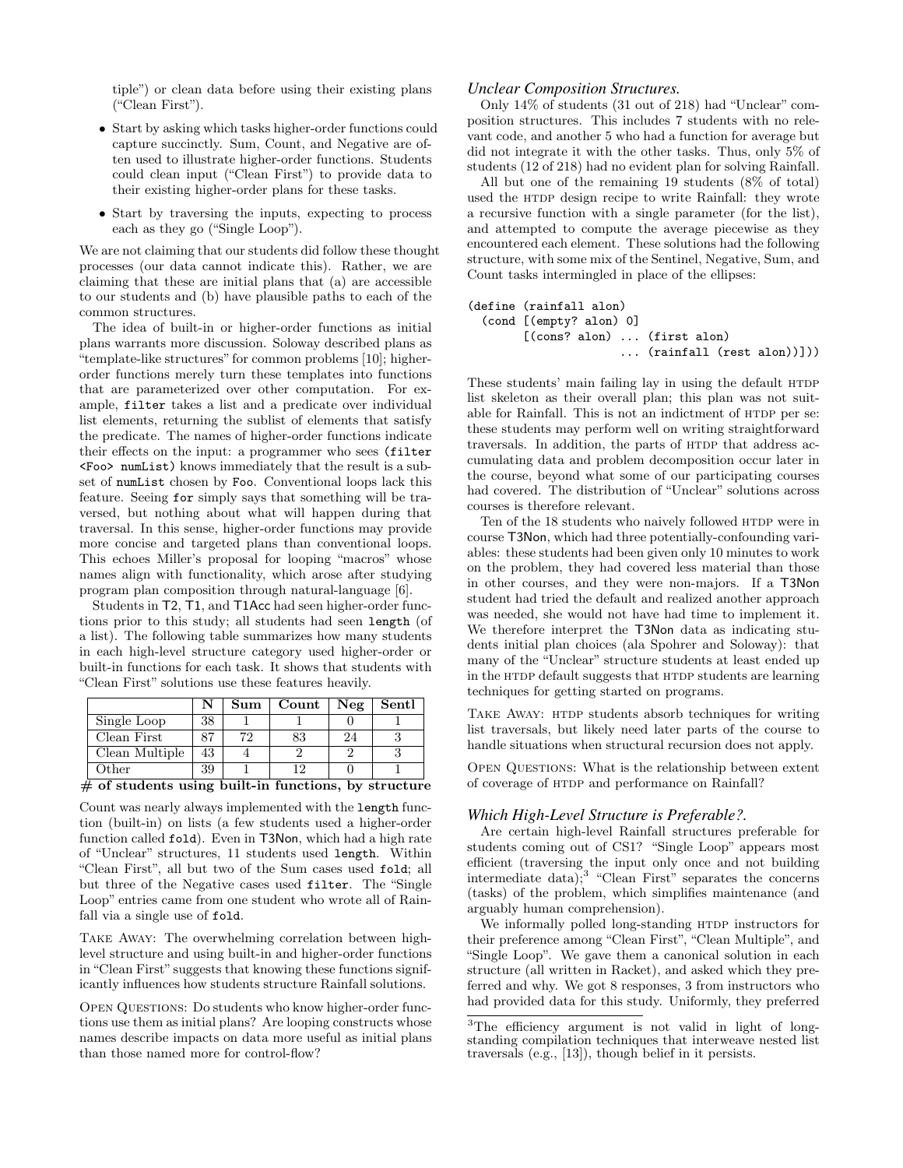tiple") or clean data before using their existing plans ("Clean First").

- Start by asking which tasks higher-order functions could capture succinctly. Sum, Count, and Negative are often used to illustrate higher-order functions. Students could clean input ("Clean First") to provide data to their existing higher-order plans for these tasks.
- Start by traversing the inputs, expecting to process each as they go ("Single Loop").

We are not claiming that our students did follow these thought processes (our data cannot indicate this). Rather, we are claiming that these are initial plans that (a) are accessible to our students and (b) have plausible paths to each of the common structures.

The idea of built-in or higher-order functions as initial plans warrants more discussion. Soloway described plans as "template-like structures" for common problems [10]; higherorder functions merely turn these templates into functions that are parameterized over other computation. For example, filter takes a list and a predicate over individual list elements, returning the sublist of elements that satisfy the predicate. The names of higher-order functions indicate their effects on the input: a programmer who sees (filter <Foo> numList) knows immediately that the result is a subset of numList chosen by Foo. Conventional loops lack this feature. Seeing for simply says that something will be traversed, but nothing about what will happen during that traversal. In this sense, higher-order functions may provide more concise and targeted plans than conventional loops. This echoes Miller's proposal for looping "macros" whose names align with functionality, which arose after studying program plan composition through natural-language [6].

Students in T2, T1, and T1Acc had seen higher-order functions prior to this study; all students had seen length (of a list). The following table summarizes how many students in each high-level structure category used higher-order or built-in functions for each task. It shows that students with "Clean First" solutions use these features heavily.

|                                                                |    | Sum | Count | Neg | Sentl |  |  |
|----------------------------------------------------------------|----|-----|-------|-----|-------|--|--|
| Single Loop                                                    | 38 |     |       |     |       |  |  |
| Clean First                                                    |    | 72  | 83    | 24  |       |  |  |
| Clean Multiple                                                 | 43 |     |       |     |       |  |  |
| Other                                                          | 39 |     |       |     |       |  |  |
| $\#$ of students using built-in functions $\,$<br>hy structure |    |     |       |     |       |  |  |

 $#$  of students using built-in functions, by structure

Count was nearly always implemented with the length function (built-in) on lists (a few students used a higher-order function called fold). Even in T3Non, which had a high rate of "Unclear" structures, 11 students used length. Within "Clean First", all but two of the Sum cases used fold; all but three of the Negative cases used filter. The "Single Loop" entries came from one student who wrote all of Rainfall via a single use of fold.

Take Away: The overwhelming correlation between highlevel structure and using built-in and higher-order functions in "Clean First" suggests that knowing these functions significantly influences how students structure Rainfall solutions.

Open Questions: Do students who know higher-order functions use them as initial plans? Are looping constructs whose names describe impacts on data more useful as initial plans than those named more for control-flow?

#### *Unclear Composition Structures.*

Only 14% of students (31 out of 218) had "Unclear" composition structures. This includes 7 students with no relevant code, and another 5 who had a function for average but did not integrate it with the other tasks. Thus, only 5% of students (12 of 218) had no evident plan for solving Rainfall.

All but one of the remaining 19 students (8% of total) used the HTDP design recipe to write Rainfall: they wrote a recursive function with a single parameter (for the list), and attempted to compute the average piecewise as they encountered each element. These solutions had the following structure, with some mix of the Sentinel, Negative, Sum, and Count tasks intermingled in place of the ellipses:

```
(define (rainfall alon)
 (cond [(empty? alon) 0]
        [(cons? alon) ... (first alon)
                      ... (rainfall (rest alon))]))
```
These students' main failing lay in using the default HTDP list skeleton as their overall plan; this plan was not suitable for Rainfall. This is not an indictment of HTDP per se: these students may perform well on writing straightforward traversals. In addition, the parts of HTDP that address accumulating data and problem decomposition occur later in the course, beyond what some of our participating courses had covered. The distribution of "Unclear" solutions across courses is therefore relevant.

Ten of the 18 students who naively followed HTDP were in course T3Non, which had three potentially-confounding variables: these students had been given only 10 minutes to work on the problem, they had covered less material than those in other courses, and they were non-majors. If a T3Non student had tried the default and realized another approach was needed, she would not have had time to implement it. We therefore interpret the T3Non data as indicating students initial plan choices (ala Spohrer and Soloway): that many of the "Unclear" structure students at least ended up in the HTDP default suggests that HTDP students are learning techniques for getting started on programs.

TAKE AWAY: HTDP students absorb techniques for writing list traversals, but likely need later parts of the course to handle situations when structural recursion does not apply.

Open Questions: What is the relationship between extent of coverage of HTDP and performance on Rainfall?

#### *Which High-Level Structure is Preferable?.*

Are certain high-level Rainfall structures preferable for students coming out of CS1? "Single Loop" appears most efficient (traversing the input only once and not building intermediate data);<sup>3</sup> "Clean First" separates the concerns (tasks) of the problem, which simplifies maintenance (and arguably human comprehension).

We informally polled long-standing HTDP instructors for their preference among "Clean First", "Clean Multiple", and "Single Loop". We gave them a canonical solution in each structure (all written in Racket), and asked which they preferred and why. We got 8 responses, 3 from instructors who had provided data for this study. Uniformly, they preferred

<sup>3</sup>The efficiency argument is not valid in light of longstanding compilation techniques that interweave nested list traversals (e.g., [13]), though belief in it persists.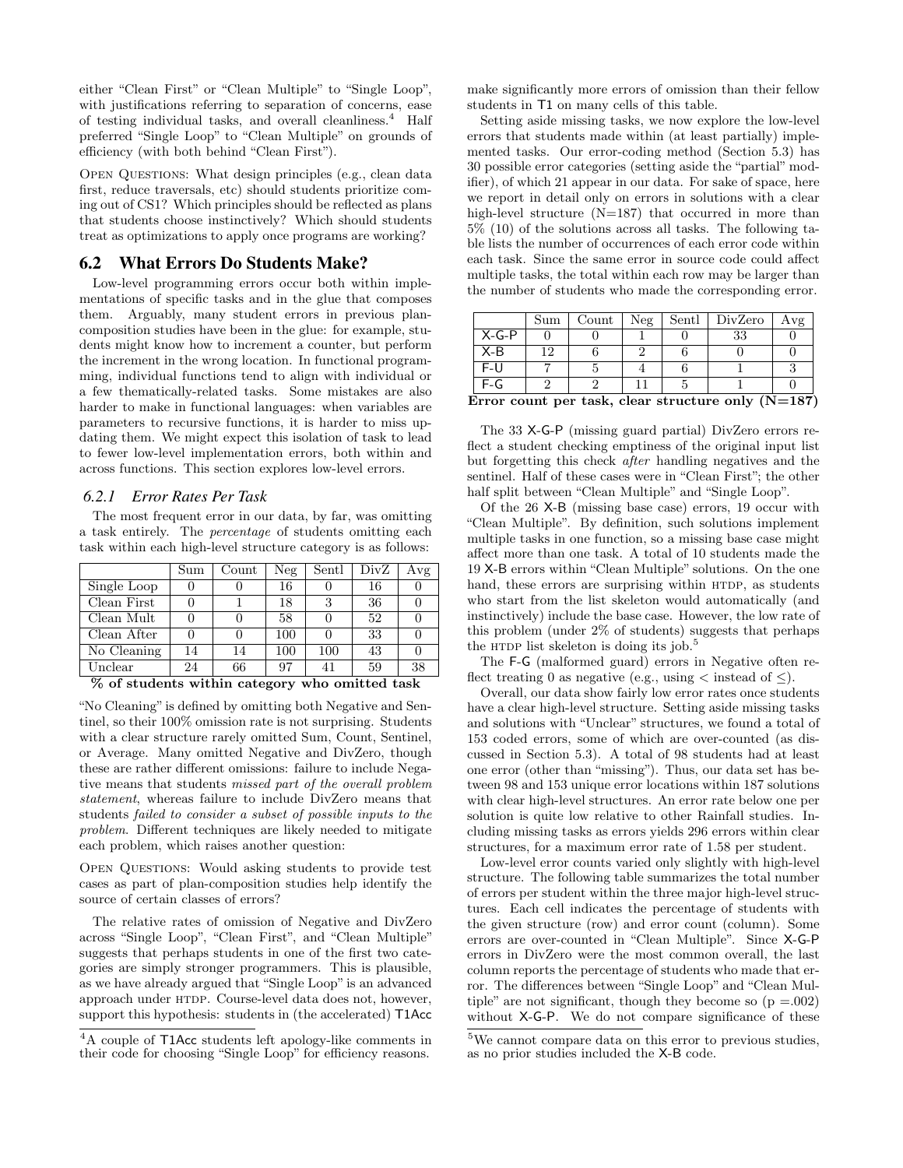either "Clean First" or "Clean Multiple" to "Single Loop", with justifications referring to separation of concerns, ease of testing individual tasks, and overall cleanliness.<sup>4</sup> Half preferred "Single Loop" to "Clean Multiple" on grounds of efficiency (with both behind "Clean First").

Open Questions: What design principles (e.g., clean data first, reduce traversals, etc) should students prioritize coming out of CS1? Which principles should be reflected as plans that students choose instinctively? Which should students treat as optimizations to apply once programs are working?

## 6.2 What Errors Do Students Make?

Low-level programming errors occur both within implementations of specific tasks and in the glue that composes them. Arguably, many student errors in previous plancomposition studies have been in the glue: for example, students might know how to increment a counter, but perform the increment in the wrong location. In functional programming, individual functions tend to align with individual or a few thematically-related tasks. Some mistakes are also harder to make in functional languages: when variables are parameters to recursive functions, it is harder to miss updating them. We might expect this isolation of task to lead to fewer low-level implementation errors, both within and across functions. This section explores low-level errors.

#### *6.2.1 Error Rates Per Task*

The most frequent error in our data, by far, was omitting a task entirely. The percentage of students omitting each task within each high-level structure category is as follows:

|                                                   | Sum | Count | Neg | Sentl  | DivZ | Avg |  |
|---------------------------------------------------|-----|-------|-----|--------|------|-----|--|
| Single Loop                                       |     |       | 16  |        | 16   |     |  |
| Clean First                                       |     |       | 18  | 3      | 36   |     |  |
| Clean Mult                                        |     |       | 58  | $\cup$ | 52   |     |  |
| Clean After                                       |     |       | 100 | $\Box$ | 33   |     |  |
| No Cleaning                                       | 14  | 14    | 100 | 100    | 43   |     |  |
| Unclear                                           | 24  | 66    | 97  | 41     | 59   | 38  |  |
| $\%$ of students within category who omitted task |     |       |     |        |      |     |  |

% of students within category who omitted task

"No Cleaning"is defined by omitting both Negative and Sentinel, so their 100% omission rate is not surprising. Students with a clear structure rarely omitted Sum, Count, Sentinel, or Average. Many omitted Negative and DivZero, though these are rather different omissions: failure to include Negative means that students missed part of the overall problem statement, whereas failure to include DivZero means that students failed to consider a subset of possible inputs to the problem. Different techniques are likely needed to mitigate each problem, which raises another question:

Open Questions: Would asking students to provide test cases as part of plan-composition studies help identify the source of certain classes of errors?

The relative rates of omission of Negative and DivZero across "Single Loop", "Clean First", and "Clean Multiple" suggests that perhaps students in one of the first two categories are simply stronger programmers. This is plausible, as we have already argued that "Single Loop" is an advanced approach under HTDP. Course-level data does not, however, support this hypothesis: students in (the accelerated) T1Acc make significantly more errors of omission than their fellow students in T1 on many cells of this table.

Setting aside missing tasks, we now explore the low-level errors that students made within (at least partially) implemented tasks. Our error-coding method (Section 5.3) has 30 possible error categories (setting aside the "partial" modifier), of which 21 appear in our data. For sake of space, here we report in detail only on errors in solutions with a clear high-level structure  $(N=187)$  that occurred in more than 5% (10) of the solutions across all tasks. The following table lists the number of occurrences of each error code within each task. Since the same error in source code could affect multiple tasks, the total within each row may be larger than the number of students who made the corresponding error.

|                                                      | Sum | Count | Neg |  | Sentl   DivZero | Avg |
|------------------------------------------------------|-----|-------|-----|--|-----------------|-----|
| $X-G-P$                                              |     |       |     |  | 33              |     |
| $X-R$                                                | 19  |       |     |  |                 |     |
| $F-U$                                                |     |       |     |  |                 |     |
| $F-G$                                                |     |       |     |  |                 |     |
| Error count per task, clear structure only $(N=187)$ |     |       |     |  |                 |     |

The 33 X-G-P (missing guard partial) DivZero errors reflect a student checking emptiness of the original input list but forgetting this check after handling negatives and the sentinel. Half of these cases were in "Clean First"; the other half split between "Clean Multiple" and "Single Loop".

Of the 26 X-B (missing base case) errors, 19 occur with "Clean Multiple". By definition, such solutions implement multiple tasks in one function, so a missing base case might affect more than one task. A total of 10 students made the 19 X-B errors within "Clean Multiple" solutions. On the one hand, these errors are surprising within HTDP, as students who start from the list skeleton would automatically (and instinctively) include the base case. However, the low rate of this problem (under 2% of students) suggests that perhaps the HTDP list skeleton is doing its job.<sup>5</sup>

The F-G (malformed guard) errors in Negative often reflect treating 0 as negative (e.g., using  $\lt$  instead of  $\lt$ ).

Overall, our data show fairly low error rates once students have a clear high-level structure. Setting aside missing tasks and solutions with "Unclear" structures, we found a total of 153 coded errors, some of which are over-counted (as discussed in Section 5.3). A total of 98 students had at least one error (other than "missing"). Thus, our data set has between 98 and 153 unique error locations within 187 solutions with clear high-level structures. An error rate below one per solution is quite low relative to other Rainfall studies. Including missing tasks as errors yields 296 errors within clear structures, for a maximum error rate of 1.58 per student.

Low-level error counts varied only slightly with high-level structure. The following table summarizes the total number of errors per student within the three major high-level structures. Each cell indicates the percentage of students with the given structure (row) and error count (column). Some errors are over-counted in "Clean Multiple". Since X-G-P errors in DivZero were the most common overall, the last column reports the percentage of students who made that error. The differences between "Single Loop" and "Clean Multiple" are not significant, though they become so  $(p = .002)$ without X-G-P. We do not compare significance of these

<sup>4</sup>A couple of T1Acc students left apology-like comments in their code for choosing "Single Loop" for efficiency reasons.

<sup>5</sup>We cannot compare data on this error to previous studies, as no prior studies included the X-B code.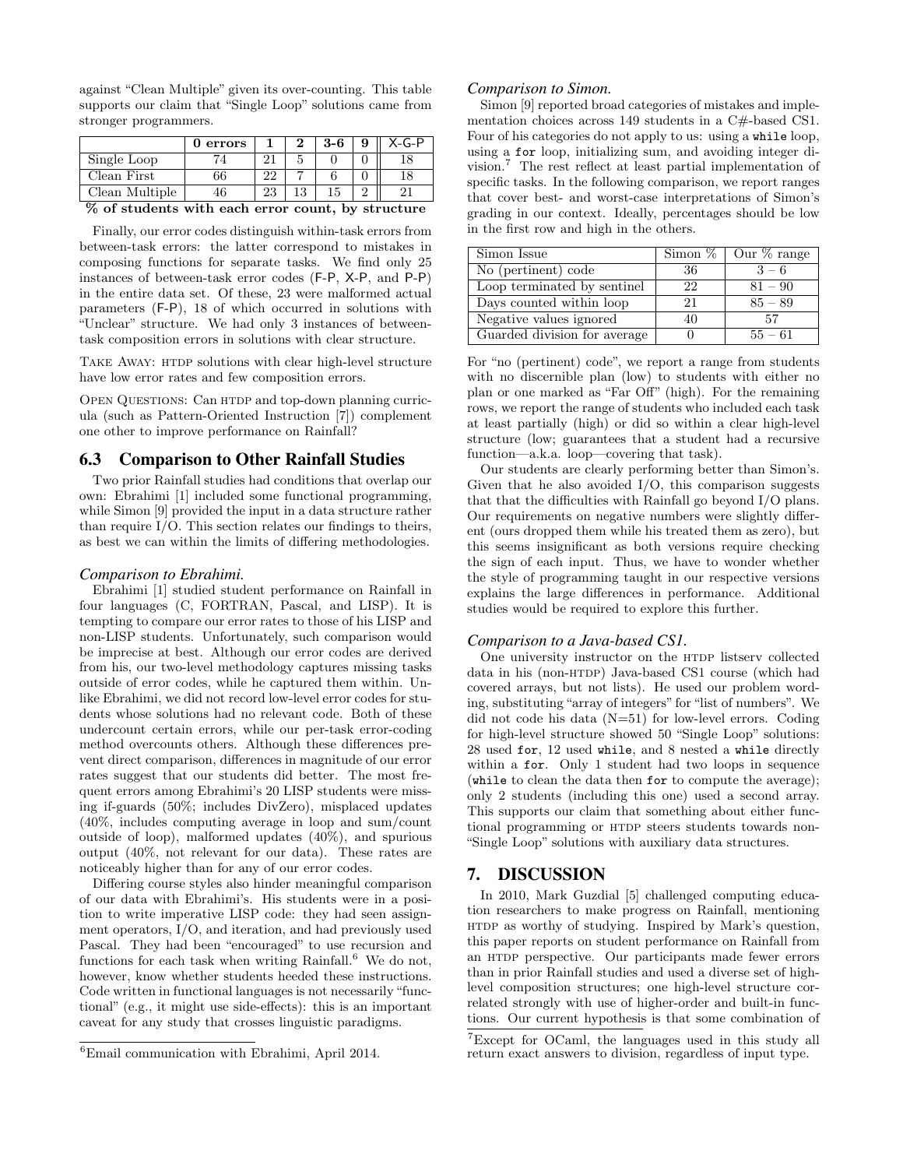against "Clean Multiple" given its over-counting. This table supports our claim that "Single Loop" solutions came from stronger programmers.

|                                                        | 0 errors |  |  | $3-6$ |  | $X-G-P$ |
|--------------------------------------------------------|----------|--|--|-------|--|---------|
| Single Loop                                            |          |  |  |       |  |         |
| Clean First                                            | 66       |  |  |       |  |         |
| Clean Multiple                                         | 46       |  |  |       |  |         |
| $\%$ of students with each error count<br>by structure |          |  |  |       |  |         |

% of students with each error count, by structure

Finally, our error codes distinguish within-task errors from between-task errors: the latter correspond to mistakes in composing functions for separate tasks. We find only 25 instances of between-task error codes (F-P, X-P, and P-P) in the entire data set. Of these, 23 were malformed actual parameters (F-P), 18 of which occurred in solutions with "Unclear" structure. We had only 3 instances of betweentask composition errors in solutions with clear structure.

TAKE AWAY: HTDP solutions with clear high-level structure have low error rates and few composition errors.

OPEN QUESTIONS: Can HTDP and top-down planning curricula (such as Pattern-Oriented Instruction [7]) complement one other to improve performance on Rainfall?

## 6.3 Comparison to Other Rainfall Studies

Two prior Rainfall studies had conditions that overlap our own: Ebrahimi [1] included some functional programming, while Simon [9] provided the input in a data structure rather than require I/O. This section relates our findings to theirs, as best we can within the limits of differing methodologies.

#### *Comparison to Ebrahimi.*

Ebrahimi [1] studied student performance on Rainfall in four languages (C, FORTRAN, Pascal, and LISP). It is tempting to compare our error rates to those of his LISP and non-LISP students. Unfortunately, such comparison would be imprecise at best. Although our error codes are derived from his, our two-level methodology captures missing tasks outside of error codes, while he captured them within. Unlike Ebrahimi, we did not record low-level error codes for students whose solutions had no relevant code. Both of these undercount certain errors, while our per-task error-coding method overcounts others. Although these differences prevent direct comparison, differences in magnitude of our error rates suggest that our students did better. The most frequent errors among Ebrahimi's 20 LISP students were missing if-guards (50%; includes DivZero), misplaced updates (40%, includes computing average in loop and sum/count outside of loop), malformed updates (40%), and spurious output (40%, not relevant for our data). These rates are noticeably higher than for any of our error codes.

Differing course styles also hinder meaningful comparison of our data with Ebrahimi's. His students were in a position to write imperative LISP code: they had seen assignment operators, I/O, and iteration, and had previously used Pascal. They had been "encouraged" to use recursion and functions for each task when writing Rainfall.<sup>6</sup> We do not, however, know whether students heeded these instructions. Code written in functional languages is not necessarily "functional" (e.g., it might use side-effects): this is an important caveat for any study that crosses linguistic paradigms.

#### *Comparison to Simon.*

Simon [9] reported broad categories of mistakes and implementation choices across 149 students in a C#-based CS1. Four of his categories do not apply to us: using a while loop, using a for loop, initializing sum, and avoiding integer division.<sup>7</sup> The rest reflect at least partial implementation of specific tasks. In the following comparison, we report ranges that cover best- and worst-case interpretations of Simon's grading in our context. Ideally, percentages should be low in the first row and high in the others.

| Simon Issue                  | Simon $%$ | Our $\%$ range |
|------------------------------|-----------|----------------|
| No (pertinent) code          | 36        | $3 - 6$        |
| Loop terminated by sentinel  | 22        | $81 - 90$      |
| Days counted within loop     | 21        | $85 - 89$      |
| Negative values ignored      | 40        | 57             |
| Guarded division for average |           | $55 - 61$      |

For "no (pertinent) code", we report a range from students with no discernible plan (low) to students with either no plan or one marked as "Far Off" (high). For the remaining rows, we report the range of students who included each task at least partially (high) or did so within a clear high-level structure (low; guarantees that a student had a recursive function—a.k.a. loop—covering that task).

Our students are clearly performing better than Simon's. Given that he also avoided I/O, this comparison suggests that that the difficulties with Rainfall go beyond I/O plans. Our requirements on negative numbers were slightly different (ours dropped them while his treated them as zero), but this seems insignificant as both versions require checking the sign of each input. Thus, we have to wonder whether the style of programming taught in our respective versions explains the large differences in performance. Additional studies would be required to explore this further.

#### *Comparison to a Java-based CS1.*

One university instructor on the HTDP listserv collected data in his (non-HTDP) Java-based CS1 course (which had covered arrays, but not lists). He used our problem wording, substituting "array of integers" for "list of numbers". We did not code his data (N=51) for low-level errors. Coding for high-level structure showed 50 "Single Loop" solutions: 28 used for, 12 used while, and 8 nested a while directly within a for. Only 1 student had two loops in sequence (while to clean the data then for to compute the average); only 2 students (including this one) used a second array. This supports our claim that something about either functional programming or HTDP steers students towards non-"Single Loop" solutions with auxiliary data structures.

# 7. DISCUSSION

In 2010, Mark Guzdial [5] challenged computing education researchers to make progress on Rainfall, mentioning HTDP as worthy of studying. Inspired by Mark's question, this paper reports on student performance on Rainfall from an HTDP perspective. Our participants made fewer errors than in prior Rainfall studies and used a diverse set of highlevel composition structures; one high-level structure correlated strongly with use of higher-order and built-in functions. Our current hypothesis is that some combination of

<sup>6</sup>Email communication with Ebrahimi, April 2014.

<sup>7</sup>Except for OCaml, the languages used in this study all return exact answers to division, regardless of input type.